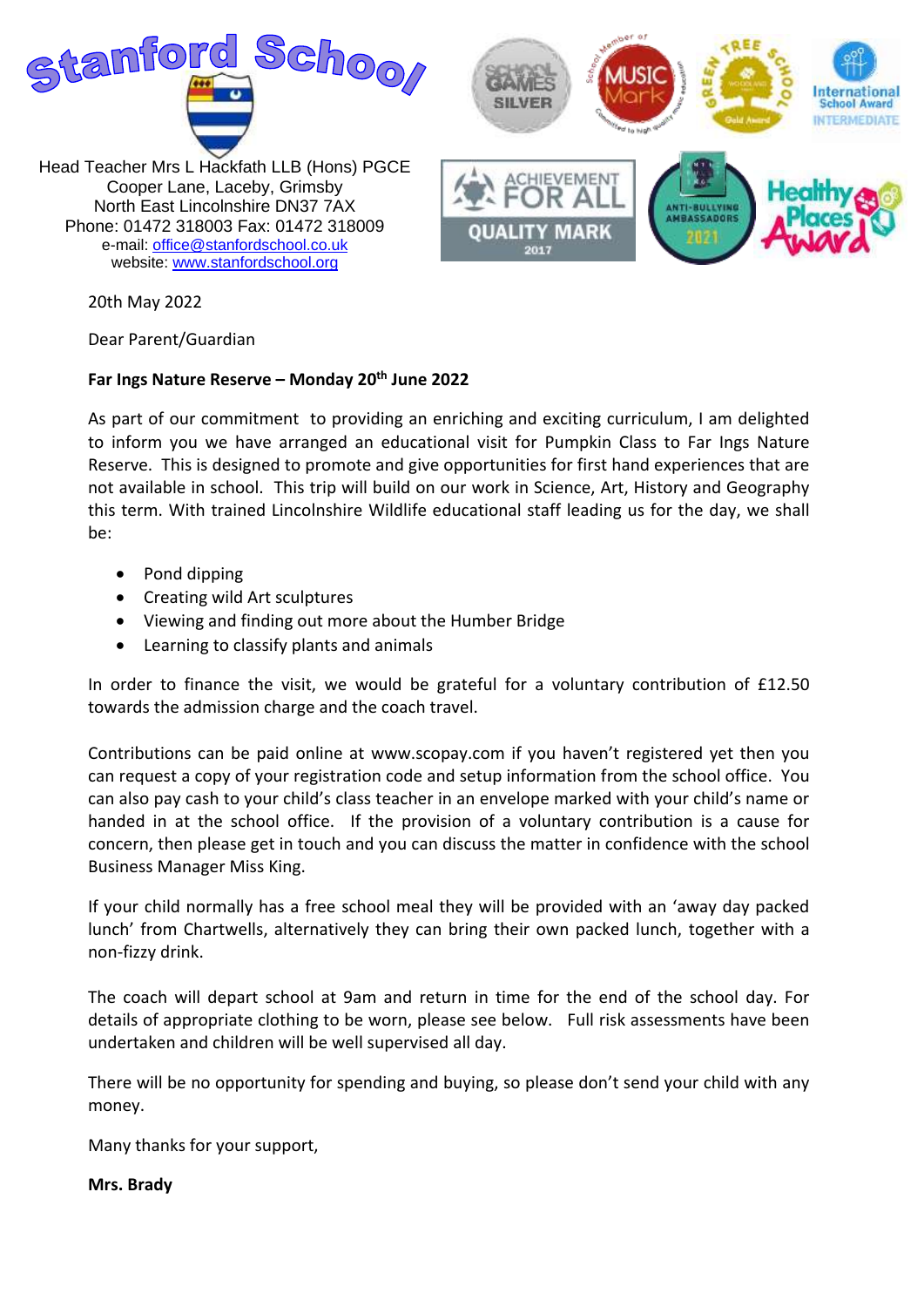

20th May 2022

Dear Parent/Guardian

## **Far Ings Nature Reserve – Monday 20th June 2022**

As part of our commitment to providing an enriching and exciting curriculum, I am delighted to inform you we have arranged an educational visit for Pumpkin Class to Far Ings Nature Reserve. This is designed to promote and give opportunities for first hand experiences that are not available in school. This trip will build on our work in Science, Art, History and Geography this term. With trained Lincolnshire Wildlife educational staff leading us for the day, we shall be:

- Pond dipping
- Creating wild Art sculptures
- Viewing and finding out more about the Humber Bridge
- Learning to classify plants and animals

In order to finance the visit, we would be grateful for a voluntary contribution of £12.50 towards the admission charge and the coach travel.

Contributions can be paid online at www.scopay.com if you haven't registered yet then you can request a copy of your registration code and setup information from the school office. You can also pay cash to your child's class teacher in an envelope marked with your child's name or handed in at the school office. If the provision of a voluntary contribution is a cause for concern, then please get in touch and you can discuss the matter in confidence with the school Business Manager Miss King.

If your child normally has a free school meal they will be provided with an 'away day packed lunch' from Chartwells, alternatively they can bring their own packed lunch, together with a non-fizzy drink.

The coach will depart school at 9am and return in time for the end of the school day. For details of appropriate clothing to be worn, please see below. Full risk assessments have been undertaken and children will be well supervised all day.

There will be no opportunity for spending and buying, so please don't send your child with any money.

Many thanks for your support,

**Mrs. Brady**